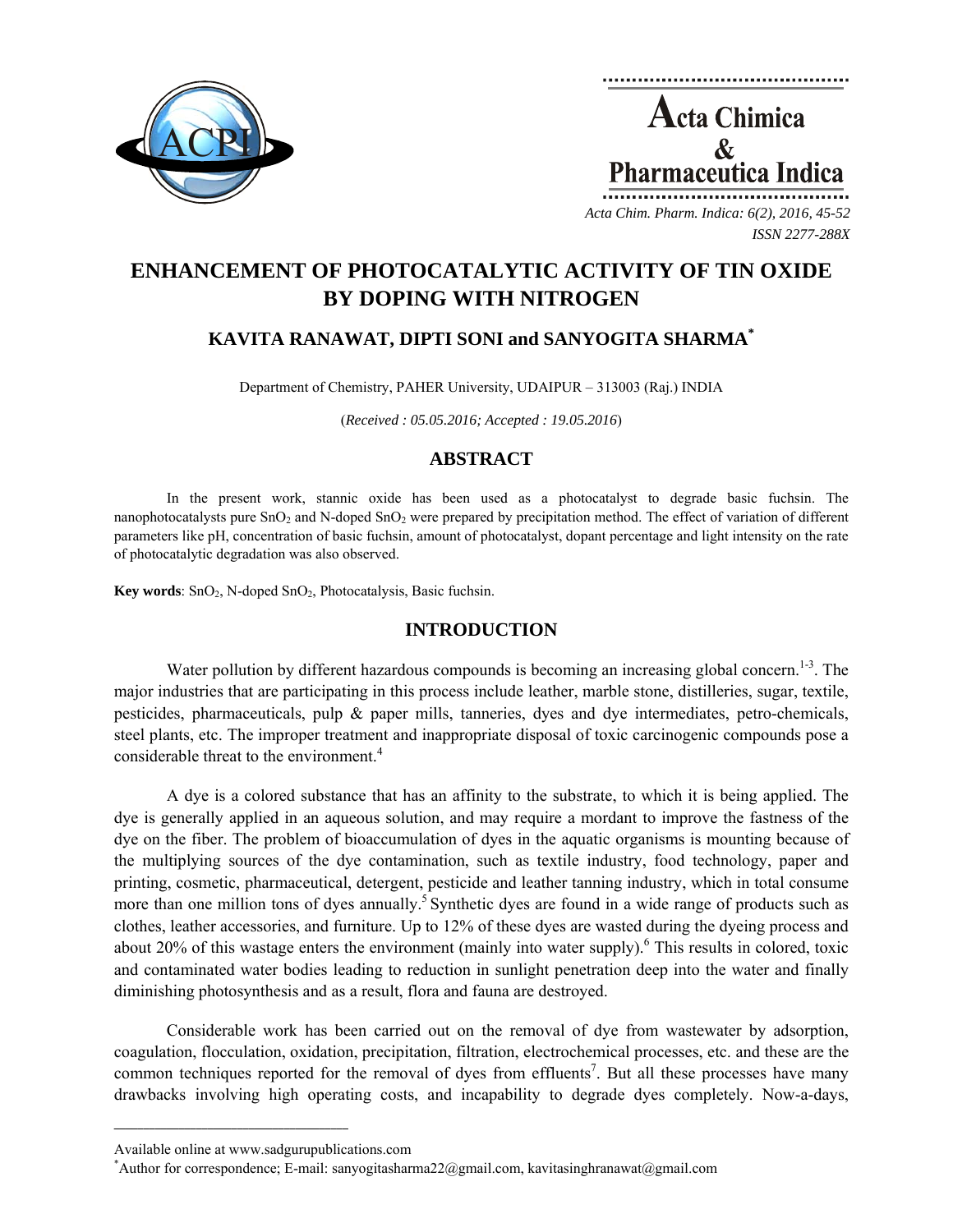

Acta Chimica  $\mathcal{R}_{\mathcal{L}}$ **Pharmaceutica Indica** *Acta Chim. Pharm. Indica: 6(2), 2016, 45-52*

*ISSN 2277-288X*

# **ENHANCEMENT OF PHOTOCATALYTIC ACTIVITY OF TIN OXIDE BY DOPING WITH NITROGEN**

# **KAVITA RANAWAT, DIPTI SONI and SANYOGITA SHARMA\***

Department of Chemistry, PAHER University, UDAIPUR – 313003 (Raj.) INDIA

(*Received : 05.05.2016; Accepted : 19.05.2016*)

## **ABSTRACT**

In the present work, stannic oxide has been used as a photocatalyst to degrade basic fuchsin. The nanophotocatalysts pure SnO<sub>2</sub> and N-doped SnO<sub>2</sub> were prepared by precipitation method. The effect of variation of different parameters like pH, concentration of basic fuchsin, amount of photocatalyst, dopant percentage and light intensity on the rate of photocatalytic degradation was also observed.

Key words: SnO<sub>2</sub>, N-doped SnO<sub>2</sub>, Photocatalysis, Basic fuchsin.

## **INTRODUCTION**

Water pollution by different hazardous compounds is becoming an increasing global concern.<sup>1-3</sup>. The major industries that are participating in this process include leather, marble stone, distilleries, sugar, textile, pesticides, pharmaceuticals, pulp & paper mills, tanneries, dyes and dye intermediates, petro-chemicals, steel plants, etc. The improper treatment and inappropriate disposal of toxic carcinogenic compounds pose a considerable threat to the environment.<sup>4</sup>

A dye is a colored substance that has an affinity to the substrate, to which it is being applied. The dye is generally applied in an aqueous solution, and may require a mordant to improve the fastness of the dye on the fiber. The problem of bioaccumulation of dyes in the aquatic organisms is mounting because of the multiplying sources of the dye contamination, such as textile industry, food technology, paper and printing, cosmetic, pharmaceutical, detergent, pesticide and leather tanning industry, which in total consume more than one million tons of dyes annually.<sup>5</sup> Synthetic dyes are found in a wide range of products such as clothes, leather accessories, and furniture. Up to 12% of these dyes are wasted during the dyeing process and about 20% of this wastage enters the environment (mainly into water supply).<sup>6</sup> This results in colored, toxic and contaminated water bodies leading to reduction in sunlight penetration deep into the water and finally diminishing photosynthesis and as a result, flora and fauna are destroyed.

Considerable work has been carried out on the removal of dye from wastewater by adsorption, coagulation, flocculation, oxidation, precipitation, filtration, electrochemical processes, etc. and these are the common techniques reported for the removal of dyes from effluents<sup>7</sup>. But all these processes have many drawbacks involving high operating costs, and incapability to degrade dyes completely. Now-a-days,

**\_\_\_\_\_\_\_\_\_\_\_\_\_\_\_\_\_\_\_\_\_\_\_\_\_\_\_\_\_\_\_\_\_\_\_\_\_\_\_\_**

Available online at www.sadgurupublications.com \*

Author for correspondence; E-mail: sanyogitasharma22@gmail.com, kavitasinghranawat@gmail.com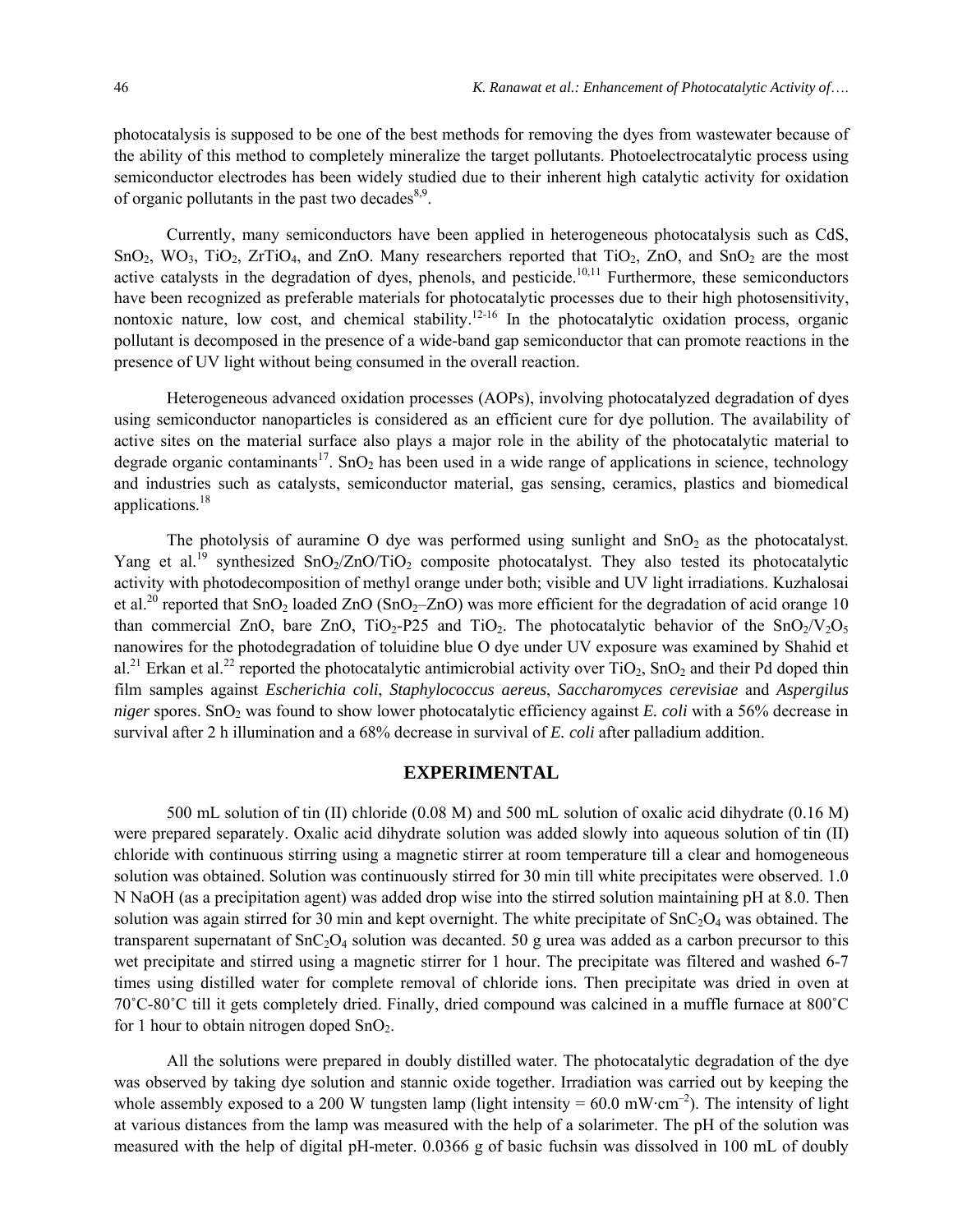photocatalysis is supposed to be one of the best methods for removing the dyes from wastewater because of the ability of this method to completely mineralize the target pollutants. Photoelectrocatalytic process using semiconductor electrodes has been widely studied due to their inherent high catalytic activity for oxidation of organic pollutants in the past two decades  $8.9$ .

Currently, many semiconductors have been applied in heterogeneous photocatalysis such as CdS,  $SnO<sub>2</sub>, WO<sub>3</sub>, TiO<sub>2</sub>, ZrTiO<sub>4</sub>, and ZnO. Many researchers reported that TiO<sub>2</sub>, ZnO, and SnO<sub>2</sub> are the most$ active catalysts in the degradation of dyes, phenols, and pesticide.<sup>10,11</sup> Furthermore, these semiconductors have been recognized as preferable materials for photocatalytic processes due to their high photosensitivity, nontoxic nature, low cost, and chemical stability.<sup>12-16</sup> In the photocatalytic oxidation process, organic pollutant is decomposed in the presence of a wide-band gap semiconductor that can promote reactions in the presence of UV light without being consumed in the overall reaction.

Heterogeneous advanced oxidation processes (AOPs), involving photocatalyzed degradation of dyes using semiconductor nanoparticles is considered as an efficient cure for dye pollution. The availability of active sites on the material surface also plays a major role in the ability of the photocatalytic material to degrade organic contaminants<sup>17</sup>. SnO<sub>2</sub> has been used in a wide range of applications in science, technology and industries such as catalysts, semiconductor material, gas sensing, ceramics, plastics and biomedical applications.<sup>18</sup>

The photolysis of auramine O dye was performed using sunlight and  $SnO<sub>2</sub>$  as the photocatalyst. Yang et al.<sup>19</sup> synthesized SnO<sub>2</sub>/ZnO/TiO<sub>2</sub> composite photocatalyst. They also tested its photocatalytic activity with photodecomposition of methyl orange under both; visible and UV light irradiations. Kuzhalosai et al.<sup>20</sup> reported that  $SnO_2$  loaded  $ZnO (SnO_2–ZnO)$  was more efficient for the degradation of acid orange 10 than commercial ZnO, bare ZnO,  $TiO<sub>2</sub>-P25$  and  $TiO<sub>2</sub>$ . The photocatalytic behavior of the  $SnO<sub>2</sub>/V<sub>2</sub>O<sub>5</sub>$ nanowires for the photodegradation of toluidine blue O dye under UV exposure was examined by Shahid et al.<sup>21</sup> Erkan et al.<sup>22</sup> reported the photocatalytic antimicrobial activity over  $TiO_2$ ,  $SnO_2$  and their Pd doped thin film samples against *Escherichia coli*, *Staphylococcus aereus*, *Saccharomyces cerevisiae* and *Aspergilus niger* spores. SnO<sub>2</sub> was found to show lower photocatalytic efficiency against *E. coli* with a 56% decrease in survival after 2 h illumination and a 68% decrease in survival of *E. coli* after palladium addition.

## **EXPERIMENTAL**

500 mL solution of tin (II) chloride (0.08 M) and 500 mL solution of oxalic acid dihydrate (0.16 M) were prepared separately. Oxalic acid dihydrate solution was added slowly into aqueous solution of tin (II) chloride with continuous stirring using a magnetic stirrer at room temperature till a clear and homogeneous solution was obtained. Solution was continuously stirred for 30 min till white precipitates were observed. 1.0 N NaOH (as a precipitation agent) was added drop wise into the stirred solution maintaining pH at 8.0. Then solution was again stirred for 30 min and kept overnight. The white precipitate of  $SnC<sub>2</sub>O<sub>4</sub>$  was obtained. The transparent supernatant of  $SnC_2O_4$  solution was decanted. 50 g urea was added as a carbon precursor to this wet precipitate and stirred using a magnetic stirrer for 1 hour. The precipitate was filtered and washed 6-7 times using distilled water for complete removal of chloride ions. Then precipitate was dried in oven at 70˚C-80˚C till it gets completely dried. Finally, dried compound was calcined in a muffle furnace at 800˚C for 1 hour to obtain nitrogen doped  $SnO<sub>2</sub>$ .

All the solutions were prepared in doubly distilled water. The photocatalytic degradation of the dye was observed by taking dye solution and stannic oxide together. Irradiation was carried out by keeping the whole assembly exposed to a 200 W tungsten lamp (light intensity =  $60.0 \text{ mW} \cdot \text{cm}^{-2}$ ). The intensity of light at various distances from the lamp was measured with the help of a solarimeter. The pH of the solution was measured with the help of digital pH-meter. 0.0366 g of basic fuchsin was dissolved in 100 mL of doubly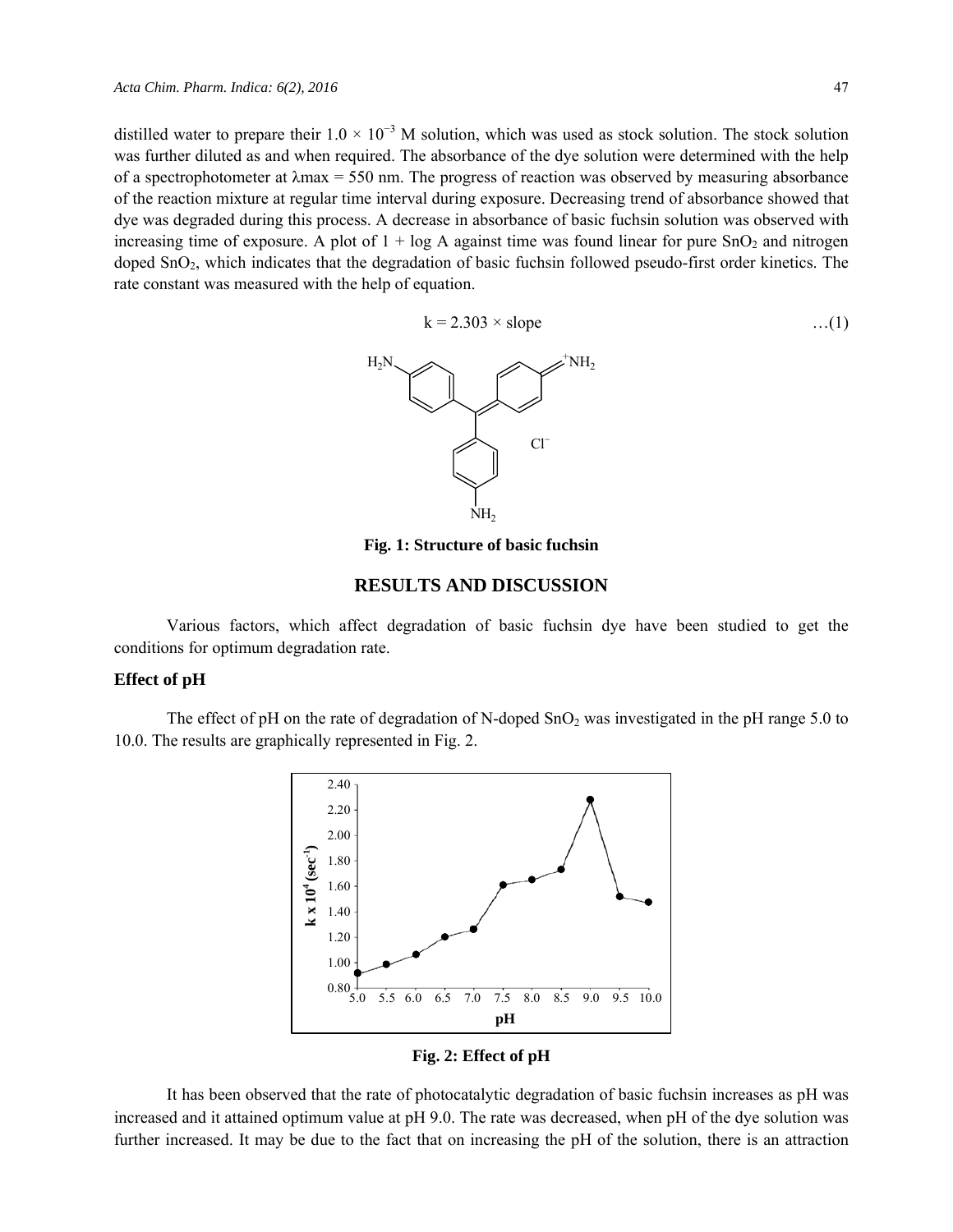distilled water to prepare their  $1.0 \times 10^{-3}$  M solution, which was used as stock solution. The stock solution was further diluted as and when required. The absorbance of the dye solution were determined with the help of a spectrophotometer at  $\lambda$ max = 550 nm. The progress of reaction was observed by measuring absorbance of the reaction mixture at regular time interval during exposure. Decreasing trend of absorbance showed that dye was degraded during this process. A decrease in absorbance of basic fuchsin solution was observed with increasing time of exposure. A plot of  $1 + \log A$  against time was found linear for pure  $\text{SnO}_2$  and nitrogen doped SnO<sub>2</sub>, which indicates that the degradation of basic fuchsin followed pseudo-first order kinetics. The rate constant was measured with the help of equation.

$$
k = 2.303 \times slope \tag{1}
$$

 $H_2N$  and  $\sim$   $\sim$   $\sim$ NH<sub>2</sub> NH<sub>2</sub> Cl<sup>−</sup>

**Fig. 1: Structure of basic fuchsin**

# **RESULTS AND DISCUSSION**

Various factors, which affect degradation of basic fuchsin dye have been studied to get the conditions for optimum degradation rate.

## **Effect of pH**

The effect of pH on the rate of degradation of N-doped  $SnO<sub>2</sub>$  was investigated in the pH range 5.0 to 10.0. The results are graphically represented in Fig. 2.



**Fig. 2: Effect of pH** 

It has been observed that the rate of photocatalytic degradation of basic fuchsin increases as pH was increased and it attained optimum value at pH 9.0. The rate was decreased, when pH of the dye solution was further increased. It may be due to the fact that on increasing the pH of the solution, there is an attraction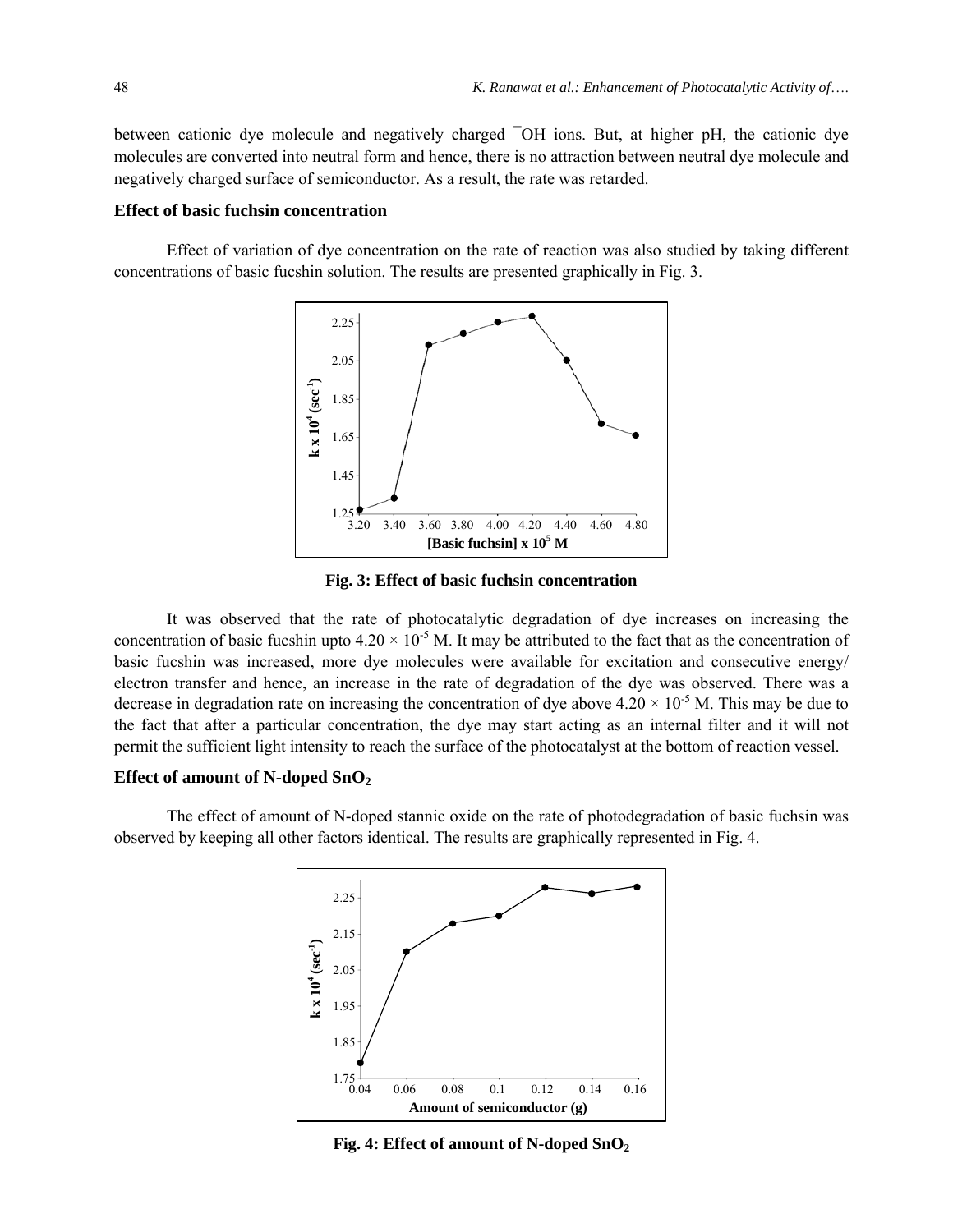between cationic dye molecule and negatively charged ¯OH ions. But, at higher pH, the cationic dye molecules are converted into neutral form and hence, there is no attraction between neutral dye molecule and negatively charged surface of semiconductor. As a result, the rate was retarded.

#### **Effect of basic fuchsin concentration**

Effect of variation of dye concentration on the rate of reaction was also studied by taking different concentrations of basic fucshin solution. The results are presented graphically in Fig. 3.



**Fig. 3: Effect of basic fuchsin concentration** 

It was observed that the rate of photocatalytic degradation of dye increases on increasing the concentration of basic fucshin upto  $4.20 \times 10^{-5}$  M. It may be attributed to the fact that as the concentration of basic fucshin was increased, more dye molecules were available for excitation and consecutive energy/ electron transfer and hence, an increase in the rate of degradation of the dye was observed. There was a decrease in degradation rate on increasing the concentration of dye above  $4.20 \times 10^{-5}$  M. This may be due to the fact that after a particular concentration, the dye may start acting as an internal filter and it will not permit the sufficient light intensity to reach the surface of the photocatalyst at the bottom of reaction vessel.

### **Effect of amount of N-doped SnO2**

The effect of amount of N-doped stannic oxide on the rate of photodegradation of basic fuchsin was observed by keeping all other factors identical. The results are graphically represented in Fig. 4.



**Fig. 4: Effect of amount of N-doped SnO2**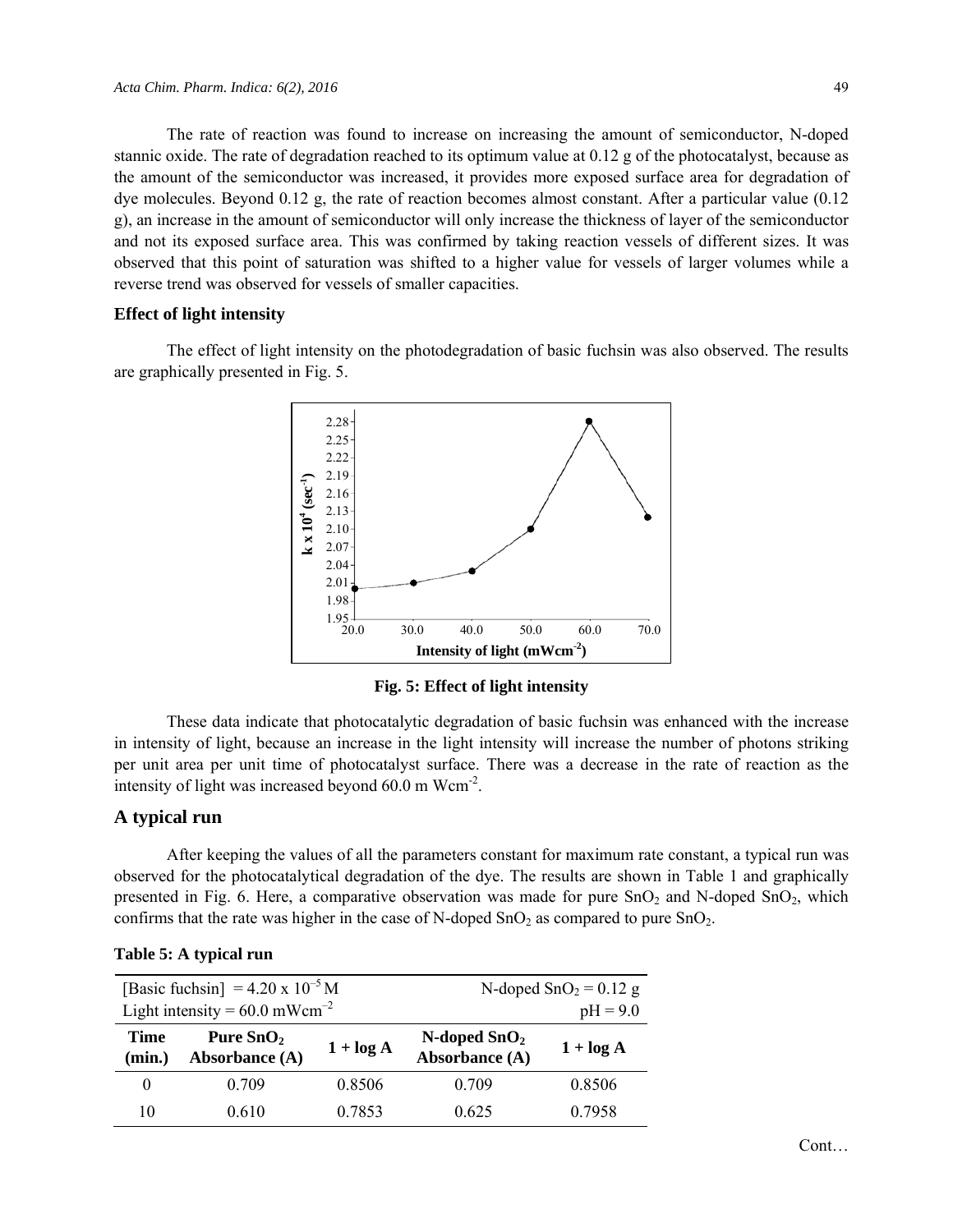The rate of reaction was found to increase on increasing the amount of semiconductor, N-doped stannic oxide. The rate of degradation reached to its optimum value at 0.12 g of the photocatalyst, because as the amount of the semiconductor was increased, it provides more exposed surface area for degradation of dye molecules. Beyond 0.12 g, the rate of reaction becomes almost constant. After a particular value (0.12 g), an increase in the amount of semiconductor will only increase the thickness of layer of the semiconductor and not its exposed surface area. This was confirmed by taking reaction vessels of different sizes. It was observed that this point of saturation was shifted to a higher value for vessels of larger volumes while a reverse trend was observed for vessels of smaller capacities.

#### **Effect of light intensity**

The effect of light intensity on the photodegradation of basic fuchsin was also observed. The results are graphically presented in Fig. 5.



**Fig. 5: Effect of light intensity** 

These data indicate that photocatalytic degradation of basic fuchsin was enhanced with the increase in intensity of light, because an increase in the light intensity will increase the number of photons striking per unit area per unit time of photocatalyst surface. There was a decrease in the rate of reaction as the intensity of light was increased beyond  $60.0 \text{ m Wcm}^2$ .

## **A typical run**

After keeping the values of all the parameters constant for maximum rate constant, a typical run was observed for the photocatalytical degradation of the dye. The results are shown in Table 1 and graphically presented in Fig. 6. Here, a comparative observation was made for pure  $SnO<sub>2</sub>$  and N-doped  $SnO<sub>2</sub>$ , which confirms that the rate was higher in the case of N-doped  $SnO<sub>2</sub>$  as compared to pure  $SnO<sub>2</sub>$ .

| [Basic fuchsin] = $4.20 \times 10^{-5}$ M<br>Light intensity = $60.0$ mWcm <sup>-2</sup> |                               |              | N-doped $SnO2 = 0.12$ g<br>$pH = 9.0$ |              |
|------------------------------------------------------------------------------------------|-------------------------------|--------------|---------------------------------------|--------------|
| Time<br>(min.)                                                                           | Pure $SnO2$<br>Absorbance (A) | $1 + \log A$ | N-doped $SnO2$<br>Absorbance (A)      | $1 + \log A$ |
| $\theta$                                                                                 | 0.709                         | 0.8506       | 0.709                                 | 0.8506       |
| 10                                                                                       | 0.610                         | 0.7853       | 0.625                                 | 0.7958       |

#### **Table 5: A typical run**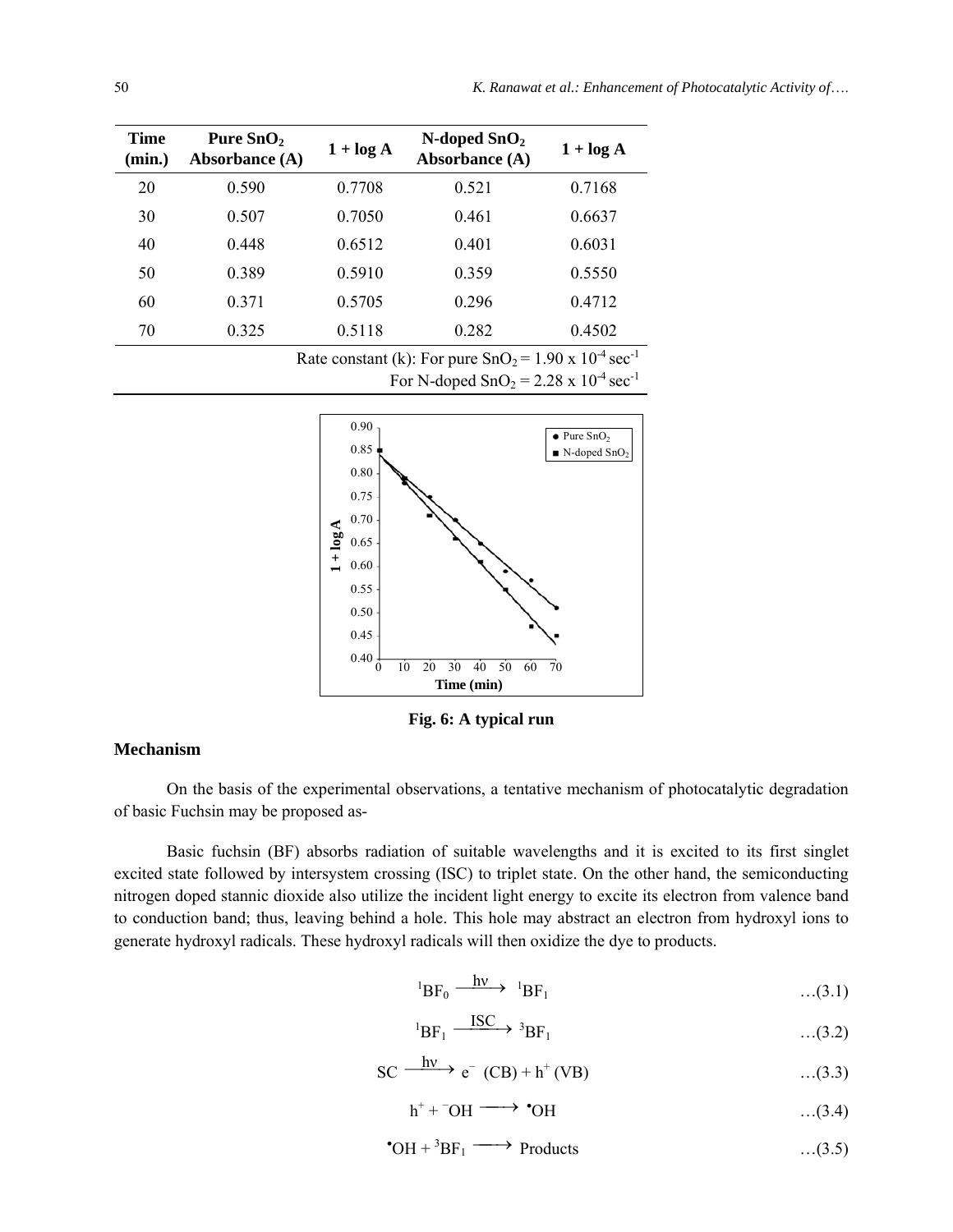| Time<br>(min.) | Pure $SnO2$<br><b>Absorbance</b> (A)                                       | $1 + \log A$ | $N$ -doped $SnO2$<br>Absorbance (A) | $1 + \log A$ |  |
|----------------|----------------------------------------------------------------------------|--------------|-------------------------------------|--------------|--|
| 20             | 0.590                                                                      | 0.7708       | 0.521                               | 0.7168       |  |
| 30             | 0.507                                                                      | 0.7050       | 0.461                               | 0.6637       |  |
| 40             | 0.448                                                                      | 0.6512       | 0.401                               | 0.6031       |  |
| 50             | 0.389                                                                      | 0.5910       | 0.359                               | 0.5550       |  |
| 60             | 0.371                                                                      | 0.5705       | 0.296                               | 0.4712       |  |
| 70             | 0.325                                                                      | 0.5118       | 0.282                               | 0.4502       |  |
|                | Rate constant (k): For pure $SnO2 = 1.90 \times 10^{-4}$ sec <sup>-1</sup> |              |                                     |              |  |

For N-doped  $SnO_2 = 2.28 \times 10^{-4}$  sec<sup>-1</sup>



**Fig. 6: A typical run** 

## **Mechanism**

On the basis of the experimental observations, a tentative mechanism of photocatalytic degradation of basic Fuchsin may be proposed as-

Basic fuchsin (BF) absorbs radiation of suitable wavelengths and it is excited to its first singlet excited state followed by intersystem crossing (ISC) to triplet state. On the other hand, the semiconducting nitrogen doped stannic dioxide also utilize the incident light energy to excite its electron from valence band to conduction band; thus, leaving behind a hole. This hole may abstract an electron from hydroxyl ions to generate hydroxyl radicals. These hydroxyl radicals will then oxidize the dye to products.

$$
{}^{1}\text{BF}_{0} \xrightarrow{\text{hv}} {}^{1}\text{BF}_{1} \qquad \qquad \dots (3.1)
$$

$$
{}^{1}\text{BF}_{1} \xrightarrow{\text{ISC}} {}^{3}\text{BF}_{1} \qquad \qquad \dots (3.2)
$$

$$
SC \xrightarrow{hv} e^{-} (CB) + h^{+} (VB) \qquad \qquad \dots (3.3)
$$

$$
h^+ + ^-OH \longrightarrow {}^{\bullet}OH \qquad \qquad \dots (3.4)
$$

$$
^{\bullet}OH + ^3BF_1 \longrightarrow \text{Products} \qquad \qquad \dots (3.5)
$$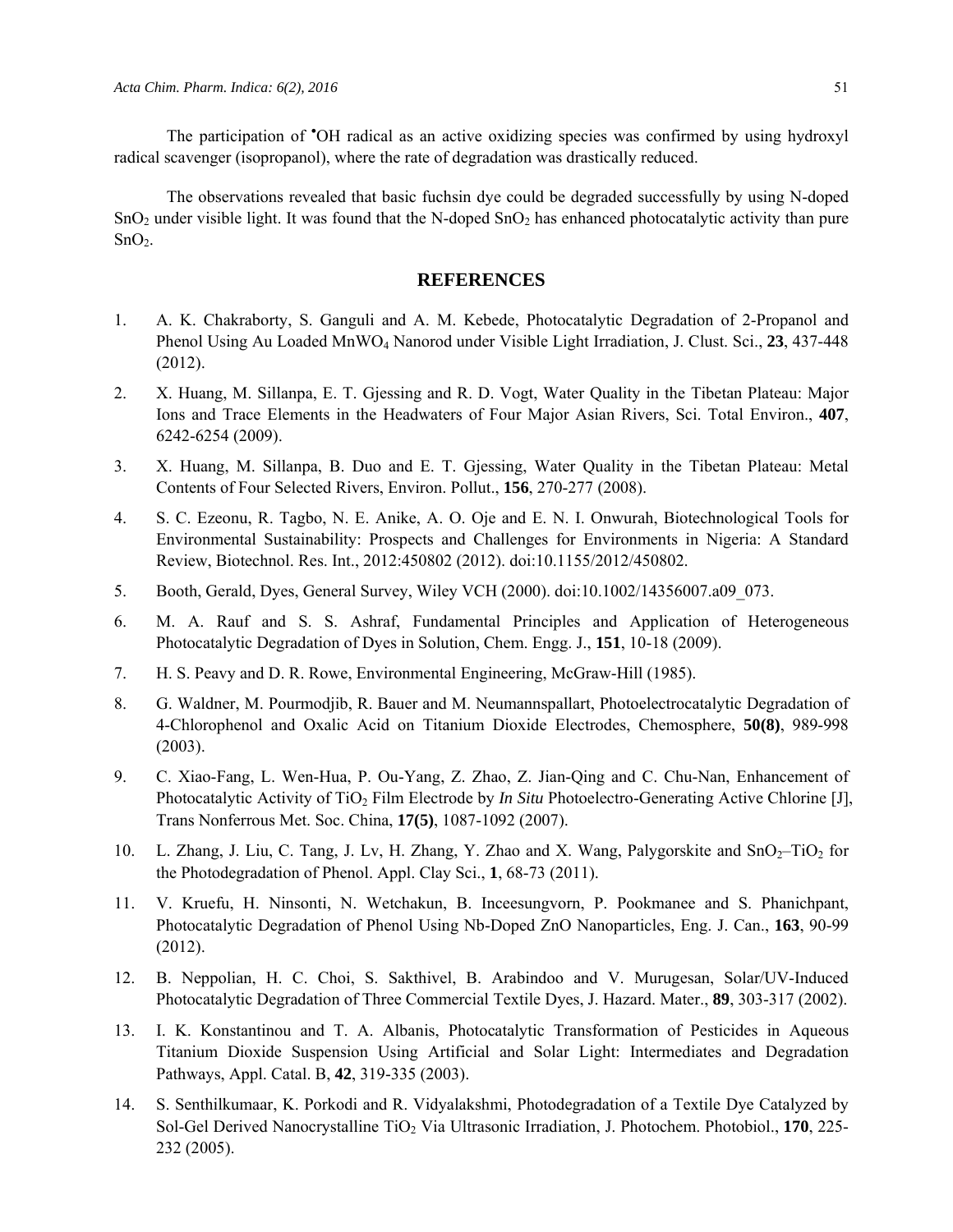The participation of 'OH radical as an active oxidizing species was confirmed by using hydroxyl radical scavenger (isopropanol), where the rate of degradation was drastically reduced.

The observations revealed that basic fuchsin dye could be degraded successfully by using N-doped  $SnO<sub>2</sub>$  under visible light. It was found that the N-doped  $SnO<sub>2</sub>$  has enhanced photocatalytic activity than pure  $SnO<sub>2</sub>$ .

#### **REFERENCES**

- 1. A. K. Chakraborty, S. Ganguli and A. M. Kebede, Photocatalytic Degradation of 2-Propanol and Phenol Using Au Loaded MnWO4 Nanorod under Visible Light Irradiation, J. Clust. Sci., **23**, 437-448 (2012).
- 2. X. Huang, M. Sillanpa, E. T. Gjessing and R. D. Vogt, Water Quality in the Tibetan Plateau: Major Ions and Trace Elements in the Headwaters of Four Major Asian Rivers, Sci. Total Environ., **407**, 6242-6254 (2009).
- 3. X. Huang, M. Sillanpa, B. Duo and E. T. Gjessing, Water Quality in the Tibetan Plateau: Metal Contents of Four Selected Rivers, Environ. Pollut., **156**, 270-277 (2008).
- 4. S. C. Ezeonu, R. Tagbo, N. E. Anike, A. O. Oje and E. N. I. Onwurah, Biotechnological Tools for Environmental Sustainability: Prospects and Challenges for Environments in Nigeria: A Standard Review, Biotechnol. Res. Int., 2012:450802 (2012). doi:10.1155/2012/450802.
- 5. Booth, Gerald, Dyes, General Survey, Wiley VCH (2000). doi:10.1002/14356007.a09\_073.
- 6. M. A. Rauf and S. S. Ashraf, Fundamental Principles and Application of Heterogeneous Photocatalytic Degradation of Dyes in Solution, Chem. Engg. J., **151**, 10-18 (2009).
- 7. H. S. Peavy and D. R. Rowe, Environmental Engineering, McGraw-Hill (1985).
- 8. G. Waldner, M. Pourmodjib, R. Bauer and M. Neumannspallart, Photoelectrocatalytic Degradation of 4-Chlorophenol and Oxalic Acid on Titanium Dioxide Electrodes, Chemosphere, **50(8)**, 989-998 (2003).
- 9. C. Xiao-Fang, L. Wen-Hua, P. Ou-Yang, Z. Zhao, Z. Jian-Qing and C. Chu-Nan, Enhancement of Photocatalytic Activity of TiO<sub>2</sub> Film Electrode by *In Situ* Photoelectro-Generating Active Chlorine [J], Trans Nonferrous Met. Soc. China, **17(5)**, 1087-1092 (2007).
- 10. L. Zhang, J. Liu, C. Tang, J. Lv, H. Zhang, Y. Zhao and X. Wang, Palygorskite and SnO<sub>2</sub>–TiO<sub>2</sub> for the Photodegradation of Phenol. Appl. Clay Sci., **1**, 68-73 (2011).
- 11. V. Kruefu, H. Ninsonti, N. Wetchakun, B. Inceesungvorn, P. Pookmanee and S. Phanichpant, Photocatalytic Degradation of Phenol Using Nb-Doped ZnO Nanoparticles, Eng. J. Can., **163**, 90-99 (2012).
- 12. B. Neppolian, H. C. Choi, S. Sakthivel, B. Arabindoo and V. Murugesan, Solar/UV-Induced Photocatalytic Degradation of Three Commercial Textile Dyes, J. Hazard. Mater., **89**, 303-317 (2002).
- 13. I. K. Konstantinou and T. A. Albanis, Photocatalytic Transformation of Pesticides in Aqueous Titanium Dioxide Suspension Using Artificial and Solar Light: Intermediates and Degradation Pathways, Appl. Catal. B, **42**, 319-335 (2003).
- 14. S. Senthilkumaar, K. Porkodi and R. Vidyalakshmi, Photodegradation of a Textile Dye Catalyzed by Sol-Gel Derived Nanocrystalline TiO<sub>2</sub> Via Ultrasonic Irradiation, J. Photochem. Photobiol., 170, 225-232 (2005).